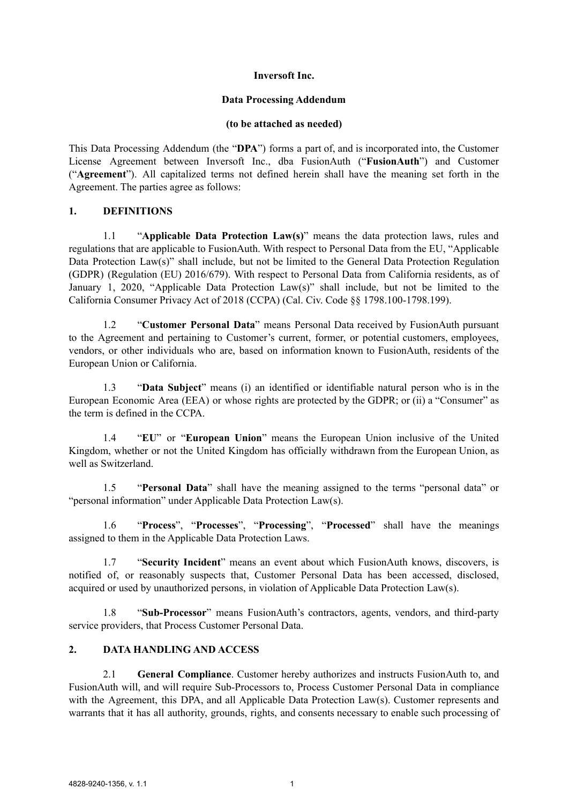## **Inversoft Inc.**

## **Data Processing Addendum**

## **(to be attached as needed)**

This Data Processing Addendum (the "**DPA**") forms a part of, and is incorporated into, the Customer License Agreement between Inversoft Inc., dba FusionAuth ("**FusionAuth**") and Customer ("**Agreement**"). All capitalized terms not defined herein shall have the meaning set forth in the Agreement. The parties agree as follows:

# **1. DEFINITIONS**

1.1 "**Applicable Data Protection Law(s)**" means the data protection laws, rules and regulations that are applicable to FusionAuth. With respect to Personal Data from the EU, "Applicable Data Protection Law(s)" shall include, but not be limited to the General Data Protection Regulation (GDPR) (Regulation (EU) 2016/679). With respect to Personal Data from California residents, as of January 1, 2020, "Applicable Data Protection Law(s)" shall include, but not be limited to the California Consumer Privacy Act of 2018 (CCPA) (Cal. Civ. Code §§ 1798.100-1798.199).

1.2 "**Customer Personal Data**" means Personal Data received by FusionAuth pursuant to the Agreement and pertaining to Customer's current, former, or potential customers, employees, vendors, or other individuals who are, based on information known to FusionAuth, residents of the European Union or California.

1.3 "**Data Subject**" means (i) an identified or identifiable natural person who is in the European Economic Area (EEA) or whose rights are protected by the GDPR; or (ii) a "Consumer" as the term is defined in the CCPA.

1.4 "**EU**" or "**European Union**" means the European Union inclusive of the United Kingdom, whether or not the United Kingdom has officially withdrawn from the European Union, as well as Switzerland.

1.5 "**Personal Data**" shall have the meaning assigned to the terms "personal data" or "personal information" under Applicable Data Protection Law(s).

1.6 "**Process**", "**Processes**", "**Processing**", "**Processed**" shall have the meanings assigned to them in the Applicable Data Protection Laws.

1.7 "**Security Incident**" means an event about which FusionAuth knows, discovers, is notified of, or reasonably suspects that, Customer Personal Data has been accessed, disclosed, acquired or used by unauthorized persons, in violation of Applicable Data Protection Law(s).

1.8 "**Sub-Processor**" means FusionAuth's contractors, agents, vendors, and third-party service providers, that Process Customer Personal Data.

# **2. DATA HANDLING AND ACCESS**

2.1 **General Compliance**. Customer hereby authorizes and instructs FusionAuth to, and FusionAuth will, and will require Sub-Processors to, Process Customer Personal Data in compliance with the Agreement, this DPA, and all Applicable Data Protection Law(s). Customer represents and warrants that it has all authority, grounds, rights, and consents necessary to enable such processing of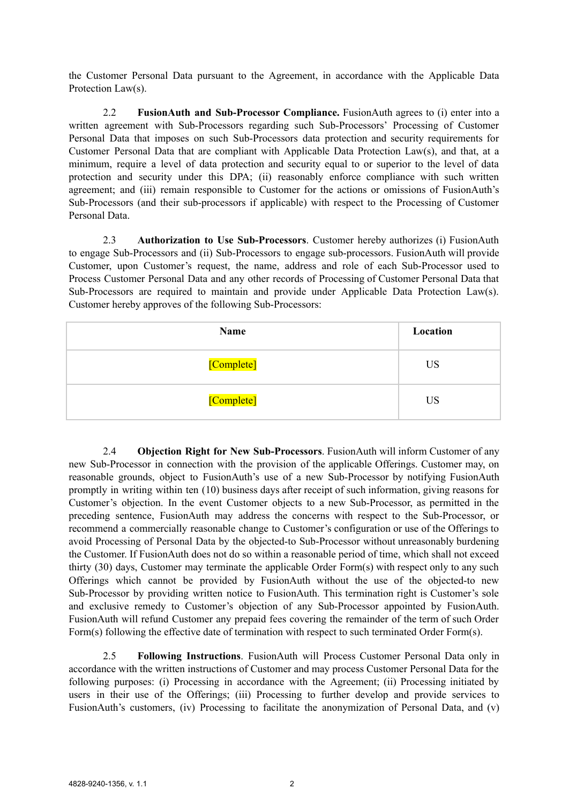the Customer Personal Data pursuant to the Agreement, in accordance with the Applicable Data Protection Law(s).

2.2 **FusionAuth and Sub-Processor Compliance.** FusionAuth agrees to (i) enter into a written agreement with Sub-Processors regarding such Sub-Processors' Processing of Customer Personal Data that imposes on such Sub-Processors data protection and security requirements for Customer Personal Data that are compliant with Applicable Data Protection Law(s), and that, at a minimum, require a level of data protection and security equal to or superior to the level of data protection and security under this DPA; (ii) reasonably enforce compliance with such written agreement; and (iii) remain responsible to Customer for the actions or omissions of FusionAuth's Sub-Processors (and their sub-processors if applicable) with respect to the Processing of Customer Personal Data.

2.3 **Authorization to Use Sub-Processors**. Customer hereby authorizes (i) FusionAuth to engage Sub-Processors and (ii) Sub-Processors to engage sub-processors. FusionAuth will provide Customer, upon Customer's request, the name, address and role of each Sub-Processor used to Process Customer Personal Data and any other records of Processing of Customer Personal Data that Sub-Processors are required to maintain and provide under Applicable Data Protection Law(s). Customer hereby approves of the following Sub-Processors:

| Name       | Location  |
|------------|-----------|
| [Complete] | <b>US</b> |
| [Complete] | <b>US</b> |

2.4 **Objection Right for New Sub-Processors**. FusionAuth will inform Customer of any new Sub-Processor in connection with the provision of the applicable Offerings. Customer may, on reasonable grounds, object to FusionAuth's use of a new Sub-Processor by notifying FusionAuth promptly in writing within ten (10) business days after receipt of such information, giving reasons for Customer's objection. In the event Customer objects to a new Sub-Processor, as permitted in the preceding sentence, FusionAuth may address the concerns with respect to the Sub-Processor, or recommend a commercially reasonable change to Customer's configuration or use of the Offerings to avoid Processing of Personal Data by the objected-to Sub-Processor without unreasonably burdening the Customer. If FusionAuth does not do so within a reasonable period of time, which shall not exceed thirty (30) days, Customer may terminate the applicable Order Form(s) with respect only to any such Offerings which cannot be provided by FusionAuth without the use of the objected-to new Sub-Processor by providing written notice to FusionAuth. This termination right is Customer's sole and exclusive remedy to Customer's objection of any Sub-Processor appointed by FusionAuth. FusionAuth will refund Customer any prepaid fees covering the remainder of the term of such Order Form(s) following the effective date of termination with respect to such terminated Order Form(s).

2.5 **Following Instructions**. FusionAuth will Process Customer Personal Data only in accordance with the written instructions of Customer and may process Customer Personal Data for the following purposes: (i) Processing in accordance with the Agreement; (ii) Processing initiated by users in their use of the Offerings; (iii) Processing to further develop and provide services to FusionAuth's customers, (iv) Processing to facilitate the anonymization of Personal Data, and (v)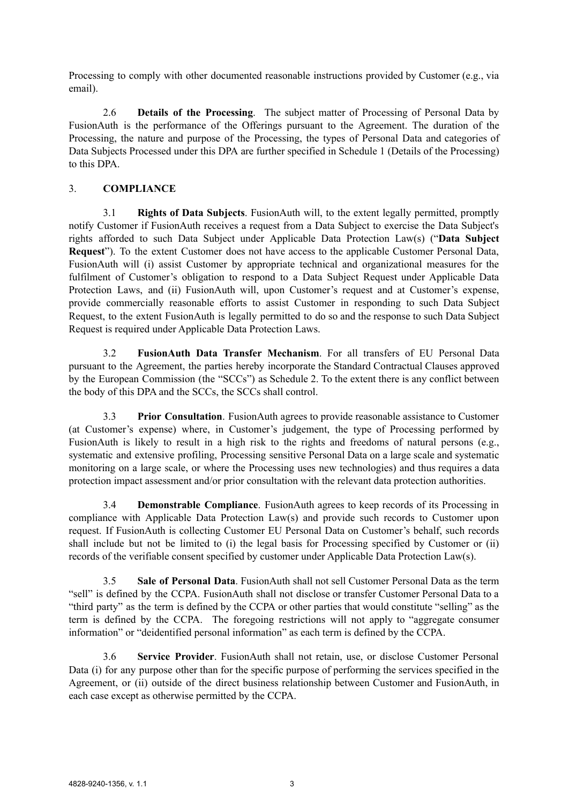Processing to comply with other documented reasonable instructions provided by Customer (e.g., via email).

2.6 **Details of the Processing**. The subject matter of Processing of Personal Data by FusionAuth is the performance of the Offerings pursuant to the Agreement. The duration of the Processing, the nature and purpose of the Processing, the types of Personal Data and categories of Data Subjects Processed under this DPA are further specified in Schedule 1 (Details of the Processing) to this DPA.

## 3. **COMPLIANCE**

3.1 **Rights of Data Subjects**. FusionAuth will, to the extent legally permitted, promptly notify Customer if FusionAuth receives a request from a Data Subject to exercise the Data Subject's rights afforded to such Data Subject under Applicable Data Protection Law(s) ("**Data Subject Request**"). To the extent Customer does not have access to the applicable Customer Personal Data, FusionAuth will (i) assist Customer by appropriate technical and organizational measures for the fulfilment of Customer's obligation to respond to a Data Subject Request under Applicable Data Protection Laws, and (ii) FusionAuth will, upon Customer's request and at Customer's expense, provide commercially reasonable efforts to assist Customer in responding to such Data Subject Request, to the extent FusionAuth is legally permitted to do so and the response to such Data Subject Request is required under Applicable Data Protection Laws.

3.2 **FusionAuth Data Transfer Mechanism**. For all transfers of EU Personal Data pursuant to the Agreement, the parties hereby incorporate the Standard Contractual Clauses approved by the European Commission (the "SCCs") as Schedule 2. To the extent there is any conflict between the body of this DPA and the SCCs, the SCCs shall control.

3.3 **Prior Consultation**. FusionAuth agrees to provide reasonable assistance to Customer (at Customer's expense) where, in Customer's judgement, the type of Processing performed by FusionAuth is likely to result in a high risk to the rights and freedoms of natural persons (e.g., systematic and extensive profiling, Processing sensitive Personal Data on a large scale and systematic monitoring on a large scale, or where the Processing uses new technologies) and thus requires a data protection impact assessment and/or prior consultation with the relevant data protection authorities.

3.4 **Demonstrable Compliance**. FusionAuth agrees to keep records of its Processing in compliance with Applicable Data Protection Law(s) and provide such records to Customer upon request. If FusionAuth is collecting Customer EU Personal Data on Customer's behalf, such records shall include but not be limited to (i) the legal basis for Processing specified by Customer or (ii) records of the verifiable consent specified by customer under Applicable Data Protection Law(s).

3.5 **Sale of Personal Data**. FusionAuth shall not sell Customer Personal Data as the term "sell" is defined by the CCPA. FusionAuth shall not disclose or transfer Customer Personal Data to a "third party" as the term is defined by the CCPA or other parties that would constitute "selling" as the term is defined by the CCPA. The foregoing restrictions will not apply to "aggregate consumer information" or "deidentified personal information" as each term is defined by the CCPA.

3.6 **Service Provider**. FusionAuth shall not retain, use, or disclose Customer Personal Data (i) for any purpose other than for the specific purpose of performing the services specified in the Agreement, or (ii) outside of the direct business relationship between Customer and FusionAuth, in each case except as otherwise permitted by the CCPA.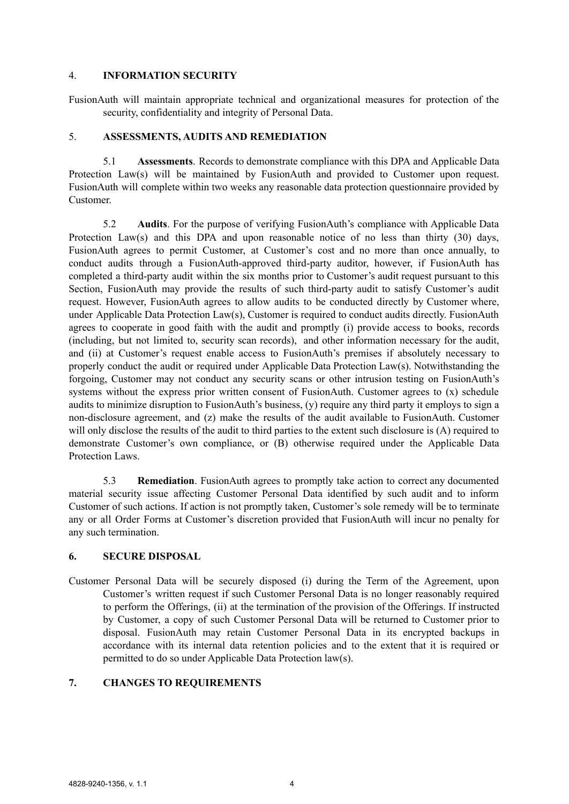## 4. **INFORMATION SECURITY**

FusionAuth will maintain appropriate technical and organizational measures for protection of the security, confidentiality and integrity of Personal Data.

## 5. **ASSESSMENTS, AUDITS AND REMEDIATION**

5.1 **Assessments**. Records to demonstrate compliance with this DPA and Applicable Data Protection Law(s) will be maintained by FusionAuth and provided to Customer upon request. FusionAuth will complete within two weeks any reasonable data protection questionnaire provided by Customer.

5.2 **Audits**. For the purpose of verifying FusionAuth's compliance with Applicable Data Protection Law(s) and this DPA and upon reasonable notice of no less than thirty (30) days, FusionAuth agrees to permit Customer, at Customer's cost and no more than once annually, to conduct audits through a FusionAuth-approved third-party auditor, however, if FusionAuth has completed a third-party audit within the six months prior to Customer's audit request pursuant to this Section, FusionAuth may provide the results of such third-party audit to satisfy Customer's audit request. However, FusionAuth agrees to allow audits to be conducted directly by Customer where, under Applicable Data Protection Law(s), Customer is required to conduct audits directly. FusionAuth agrees to cooperate in good faith with the audit and promptly (i) provide access to books, records (including, but not limited to, security scan records), and other information necessary for the audit, and (ii) at Customer's request enable access to FusionAuth's premises if absolutely necessary to properly conduct the audit or required under Applicable Data Protection Law(s). Notwithstanding the forgoing, Customer may not conduct any security scans or other intrusion testing on FusionAuth's systems without the express prior written consent of FusionAuth. Customer agrees to (x) schedule audits to minimize disruption to FusionAuth's business, (y) require any third party it employs to sign a non-disclosure agreement, and (z) make the results of the audit available to FusionAuth. Customer will only disclose the results of the audit to third parties to the extent such disclosure is (A) required to demonstrate Customer's own compliance, or (B) otherwise required under the Applicable Data Protection Laws.

5.3 **Remediation**. FusionAuth agrees to promptly take action to correct any documented material security issue affecting Customer Personal Data identified by such audit and to inform Customer of such actions. If action is not promptly taken, Customer's sole remedy will be to terminate any or all Order Forms at Customer's discretion provided that FusionAuth will incur no penalty for any such termination.

# **6. SECURE DISPOSAL**

Customer Personal Data will be securely disposed (i) during the Term of the Agreement, upon Customer's written request if such Customer Personal Data is no longer reasonably required to perform the Offerings, (ii) at the termination of the provision of the Offerings. If instructed by Customer, a copy of such Customer Personal Data will be returned to Customer prior to disposal. FusionAuth may retain Customer Personal Data in its encrypted backups in accordance with its internal data retention policies and to the extent that it is required or permitted to do so under Applicable Data Protection law(s).

# **7. CHANGES TO REQUIREMENTS**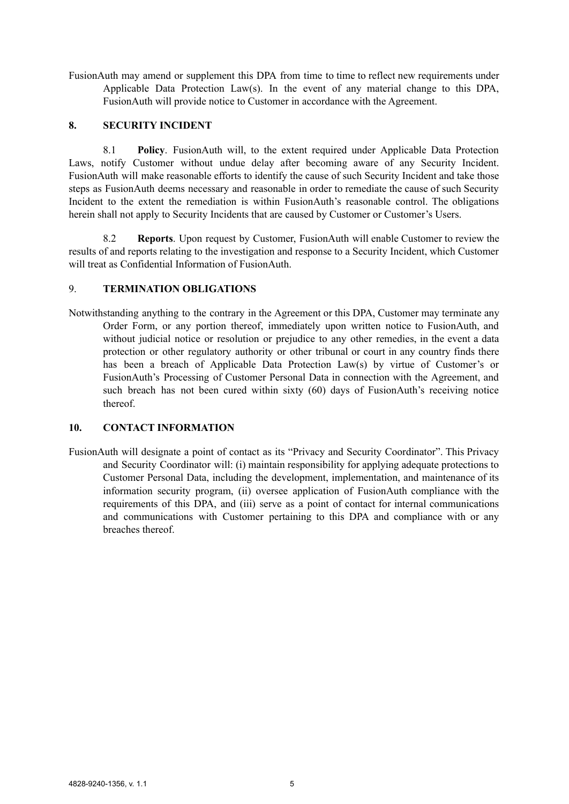FusionAuth may amend or supplement this DPA from time to time to reflect new requirements under Applicable Data Protection Law(s). In the event of any material change to this DPA, FusionAuth will provide notice to Customer in accordance with the Agreement.

# **8. SECURITY INCIDENT**

8.1 **Policy**. FusionAuth will, to the extent required under Applicable Data Protection Laws, notify Customer without undue delay after becoming aware of any Security Incident. FusionAuth will make reasonable efforts to identify the cause of such Security Incident and take those steps as FusionAuth deems necessary and reasonable in order to remediate the cause of such Security Incident to the extent the remediation is within FusionAuth's reasonable control. The obligations herein shall not apply to Security Incidents that are caused by Customer or Customer's Users.

8.2 **Reports**. Upon request by Customer, FusionAuth will enable Customer to review the results of and reports relating to the investigation and response to a Security Incident, which Customer will treat as Confidential Information of FusionAuth.

# 9. **TERMINATION OBLIGATIONS**

Notwithstanding anything to the contrary in the Agreement or this DPA, Customer may terminate any Order Form, or any portion thereof, immediately upon written notice to FusionAuth, and without judicial notice or resolution or prejudice to any other remedies, in the event a data protection or other regulatory authority or other tribunal or court in any country finds there has been a breach of Applicable Data Protection Law(s) by virtue of Customer's or FusionAuth's Processing of Customer Personal Data in connection with the Agreement, and such breach has not been cured within sixty (60) days of FusionAuth's receiving notice thereof.

# **10. CONTACT INFORMATION**

FusionAuth will designate a point of contact as its "Privacy and Security Coordinator". This Privacy and Security Coordinator will: (i) maintain responsibility for applying adequate protections to Customer Personal Data, including the development, implementation, and maintenance of its information security program, (ii) oversee application of FusionAuth compliance with the requirements of this DPA, and (iii) serve as a point of contact for internal communications and communications with Customer pertaining to this DPA and compliance with or any breaches thereof.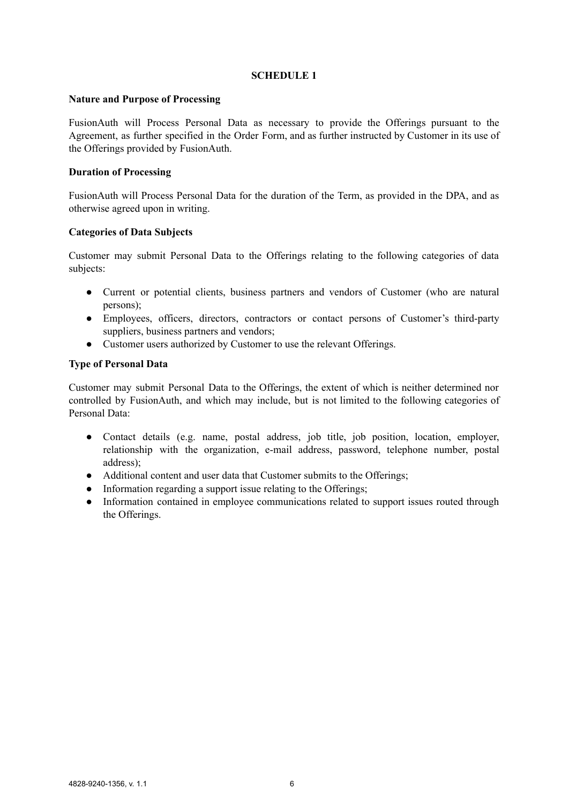### **SCHEDULE 1**

#### **Nature and Purpose of Processing**

FusionAuth will Process Personal Data as necessary to provide the Offerings pursuant to the Agreement, as further specified in the Order Form, and as further instructed by Customer in its use of the Offerings provided by FusionAuth.

### **Duration of Processing**

FusionAuth will Process Personal Data for the duration of the Term, as provided in the DPA, and as otherwise agreed upon in writing.

## **Categories of Data Subjects**

Customer may submit Personal Data to the Offerings relating to the following categories of data subjects:

- Current or potential clients, business partners and vendors of Customer (who are natural persons);
- Employees, officers, directors, contractors or contact persons of Customer's third-party suppliers, business partners and vendors;
- Customer users authorized by Customer to use the relevant Offerings.

## **Type of Personal Data**

Customer may submit Personal Data to the Offerings, the extent of which is neither determined nor controlled by FusionAuth, and which may include, but is not limited to the following categories of Personal Data:

- Contact details (e.g. name, postal address, job title, job position, location, employer, relationship with the organization, e-mail address, password, telephone number, postal address);
- Additional content and user data that Customer submits to the Offerings;
- Information regarding a support issue relating to the Offerings;
- Information contained in employee communications related to support issues routed through the Offerings.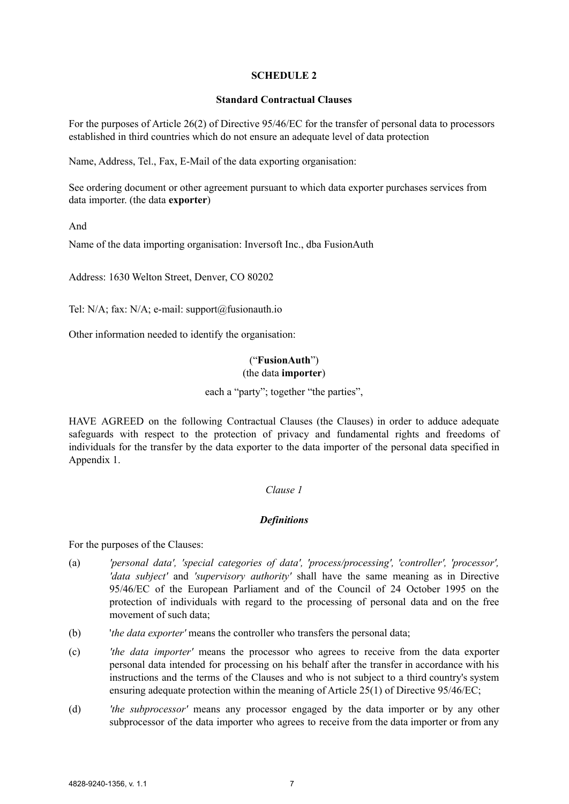## **SCHEDULE 2**

### **Standard Contractual Clauses**

For the purposes of Article 26(2) of Directive 95/46/EC for the transfer of personal data to processors established in third countries which do not ensure an adequate level of data protection

Name, Address, Tel., Fax, E-Mail of the data exporting organisation:

See ordering document or other agreement pursuant to which data exporter purchases services from data importer. (the data **exporter**)

And

Name of the data importing organisation: Inversoft Inc., dba FusionAuth

Address: 1630 Welton Street, Denver, CO 80202

Tel: N/A; fax: N/A; e-mail: support@fusionauth.io

Other information needed to identify the organisation:

## ("**FusionAuth**") (the data **importer**)

each a "party"; together "the parties",

HAVE AGREED on the following Contractual Clauses (the Clauses) in order to adduce adequate safeguards with respect to the protection of privacy and fundamental rights and freedoms of individuals for the transfer by the data exporter to the data importer of the personal data specified in Appendix 1.

# *Clause 1*

# *Definitions*

For the purposes of the Clauses:

- (a) *'personal data', 'special categories of data', 'process/processing', 'controller', 'processor', 'data subject'* and *'supervisory authority'* shall have the same meaning as in Directive 95/46/EC of the European Parliament and of the Council of 24 October 1995 on the protection of individuals with regard to the processing of personal data and on the free movement of such data;
- (b) '*the data exporter'* means the controller who transfers the personal data;
- (c) *'the data importer'* means the processor who agrees to receive from the data exporter personal data intended for processing on his behalf after the transfer in accordance with his instructions and the terms of the Clauses and who is not subject to a third country's system ensuring adequate protection within the meaning of Article 25(1) of Directive 95/46/EC;
- (d) *'the subprocessor'* means any processor engaged by the data importer or by any other subprocessor of the data importer who agrees to receive from the data importer or from any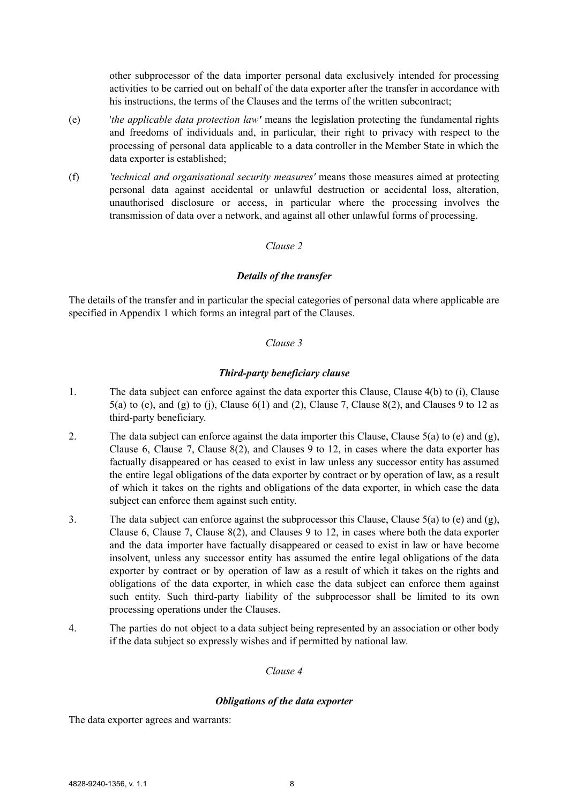other subprocessor of the data importer personal data exclusively intended for processing activities to be carried out on behalf of the data exporter after the transfer in accordance with his instructions, the terms of the Clauses and the terms of the written subcontract;

- (e) '*the applicable data protection law'* means the legislation protecting the fundamental rights and freedoms of individuals and, in particular, their right to privacy with respect to the processing of personal data applicable to a data controller in the Member State in which the data exporter is established;
- (f) *'technical and organisational security measures'* means those measures aimed at protecting personal data against accidental or unlawful destruction or accidental loss, alteration, unauthorised disclosure or access, in particular where the processing involves the transmission of data over a network, and against all other unlawful forms of processing.

## *Clause 2*

## *Details of the transfer*

The details of the transfer and in particular the special categories of personal data where applicable are specified in Appendix 1 which forms an integral part of the Clauses.

## *Clause 3*

### *Third-party beneficiary clause*

- 1. The data subject can enforce against the data exporter this Clause, Clause 4(b) to (i), Clause  $5(a)$  to (e), and (g) to (j), Clause  $6(1)$  and (2), Clause 7, Clause 8(2), and Clauses 9 to 12 as third-party beneficiary.
- 2. The data subject can enforce against the data importer this Clause, Clause  $5(a)$  to (e) and (g), Clause 6, Clause 7, Clause 8(2), and Clauses 9 to 12, in cases where the data exporter has factually disappeared or has ceased to exist in law unless any successor entity has assumed the entire legal obligations of the data exporter by contract or by operation of law, as a result of which it takes on the rights and obligations of the data exporter, in which case the data subject can enforce them against such entity.
- 3. The data subject can enforce against the subprocessor this Clause, Clause 5(a) to (e) and (g), Clause 6, Clause 7, Clause 8(2), and Clauses 9 to 12, in cases where both the data exporter and the data importer have factually disappeared or ceased to exist in law or have become insolvent, unless any successor entity has assumed the entire legal obligations of the data exporter by contract or by operation of law as a result of which it takes on the rights and obligations of the data exporter, in which case the data subject can enforce them against such entity. Such third-party liability of the subprocessor shall be limited to its own processing operations under the Clauses.
- 4. The parties do not object to a data subject being represented by an association or other body if the data subject so expressly wishes and if permitted by national law.

### *Clause 4*

### *Obligations of the data exporter*

The data exporter agrees and warrants: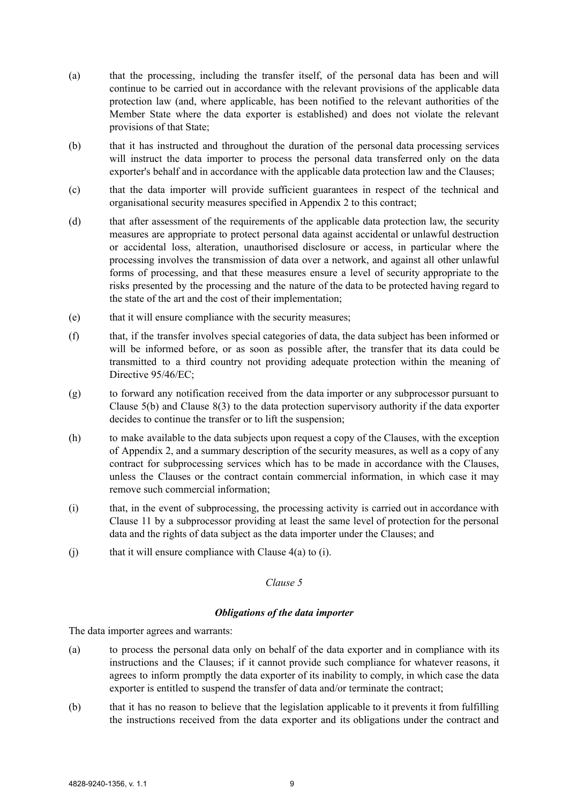- (a) that the processing, including the transfer itself, of the personal data has been and will continue to be carried out in accordance with the relevant provisions of the applicable data protection law (and, where applicable, has been notified to the relevant authorities of the Member State where the data exporter is established) and does not violate the relevant provisions of that State;
- (b) that it has instructed and throughout the duration of the personal data processing services will instruct the data importer to process the personal data transferred only on the data exporter's behalf and in accordance with the applicable data protection law and the Clauses;
- (c) that the data importer will provide sufficient guarantees in respect of the technical and organisational security measures specified in Appendix 2 to this contract;
- (d) that after assessment of the requirements of the applicable data protection law, the security measures are appropriate to protect personal data against accidental or unlawful destruction or accidental loss, alteration, unauthorised disclosure or access, in particular where the processing involves the transmission of data over a network, and against all other unlawful forms of processing, and that these measures ensure a level of security appropriate to the risks presented by the processing and the nature of the data to be protected having regard to the state of the art and the cost of their implementation;
- (e) that it will ensure compliance with the security measures;
- (f) that, if the transfer involves special categories of data, the data subject has been informed or will be informed before, or as soon as possible after, the transfer that its data could be transmitted to a third country not providing adequate protection within the meaning of Directive 95/46/EC;
- (g) to forward any notification received from the data importer or any subprocessor pursuant to Clause 5(b) and Clause 8(3) to the data protection supervisory authority if the data exporter decides to continue the transfer or to lift the suspension;
- (h) to make available to the data subjects upon request a copy of the Clauses, with the exception of Appendix 2, and a summary description of the security measures, as well as a copy of any contract for subprocessing services which has to be made in accordance with the Clauses, unless the Clauses or the contract contain commercial information, in which case it may remove such commercial information;
- (i) that, in the event of subprocessing, the processing activity is carried out in accordance with Clause 11 by a subprocessor providing at least the same level of protection for the personal data and the rights of data subject as the data importer under the Clauses; and
- (i) that it will ensure compliance with Clause  $4(a)$  to (i).

#### *Clause 5*

### *Obligations of the data importer*

The data importer agrees and warrants:

- (a) to process the personal data only on behalf of the data exporter and in compliance with its instructions and the Clauses; if it cannot provide such compliance for whatever reasons, it agrees to inform promptly the data exporter of its inability to comply, in which case the data exporter is entitled to suspend the transfer of data and/or terminate the contract;
- (b) that it has no reason to believe that the legislation applicable to it prevents it from fulfilling the instructions received from the data exporter and its obligations under the contract and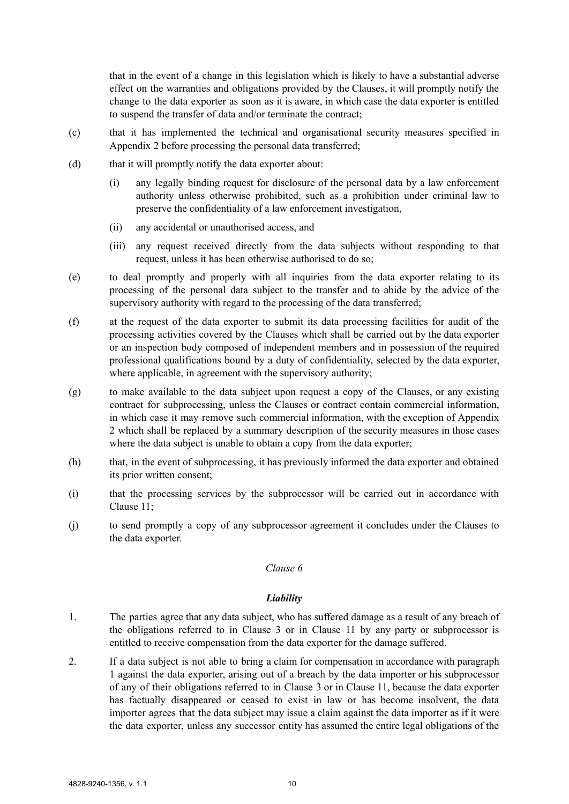that in the event of a change in this legislation which is likely to have a substantial adverse effect on the warranties and obligations provided by the Clauses, it will promptly notify the change to the data exporter as soon as it is aware, in which case the data exporter is entitled to suspend the transfer of data and/or terminate the contract;

- (c) that it has implemented the technical and organisational security measures specified in Appendix 2 before processing the personal data transferred;
- (d) that it will promptly notify the data exporter about:
	- (i) any legally binding request for disclosure of the personal data by a law enforcement authority unless otherwise prohibited, such as a prohibition under criminal law to preserve the confidentiality of a law enforcement investigation,
	- (ii) any accidental or unauthorised access, and
	- (iii) any request received directly from the data subjects without responding to that request, unless it has been otherwise authorised to do so;
- (e) to deal promptly and properly with all inquiries from the data exporter relating to its processing of the personal data subject to the transfer and to abide by the advice of the supervisory authority with regard to the processing of the data transferred;
- (f) at the request of the data exporter to submit its data processing facilities for audit of the processing activities covered by the Clauses which shall be carried out by the data exporter or an inspection body composed of independent members and in possession of the required professional qualifications bound by a duty of confidentiality, selected by the data exporter, where applicable, in agreement with the supervisory authority;
- (g) to make available to the data subject upon request a copy of the Clauses, or any existing contract for subprocessing, unless the Clauses or contract contain commercial information, in which case it may remove such commercial information, with the exception of Appendix 2 which shall be replaced by a summary description of the security measures in those cases where the data subject is unable to obtain a copy from the data exporter;
- (h) that, in the event of subprocessing, it has previously informed the data exporter and obtained its prior written consent;
- (i) that the processing services by the subprocessor will be carried out in accordance with Clause 11;
- (j) to send promptly a copy of any subprocessor agreement it concludes under the Clauses to the data exporter.

# *Clause 6*

# *Liability*

- 1. The parties agree that any data subject, who has suffered damage as a result of any breach of the obligations referred to in Clause 3 or in Clause 11 by any party or subprocessor is entitled to receive compensation from the data exporter for the damage suffered.
- 2. If a data subject is not able to bring a claim for compensation in accordance with paragraph 1 against the data exporter, arising out of a breach by the data importer or his subprocessor of any of their obligations referred to in Clause 3 or in Clause 11, because the data exporter has factually disappeared or ceased to exist in law or has become insolvent, the data importer agrees that the data subject may issue a claim against the data importer as if it were the data exporter, unless any successor entity has assumed the entire legal obligations of the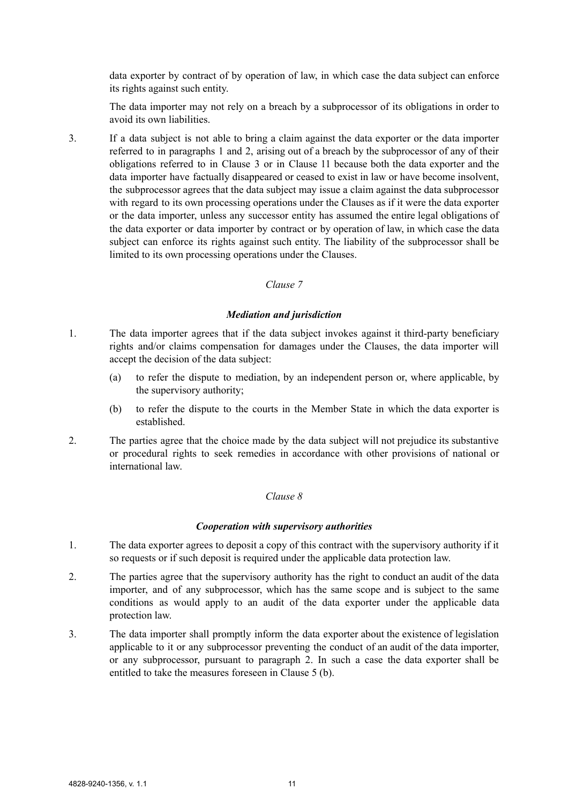data exporter by contract of by operation of law, in which case the data subject can enforce its rights against such entity.

The data importer may not rely on a breach by a subprocessor of its obligations in order to avoid its own liabilities.

3. If a data subject is not able to bring a claim against the data exporter or the data importer referred to in paragraphs 1 and 2, arising out of a breach by the subprocessor of any of their obligations referred to in Clause 3 or in Clause 11 because both the data exporter and the data importer have factually disappeared or ceased to exist in law or have become insolvent, the subprocessor agrees that the data subject may issue a claim against the data subprocessor with regard to its own processing operations under the Clauses as if it were the data exporter or the data importer, unless any successor entity has assumed the entire legal obligations of the data exporter or data importer by contract or by operation of law, in which case the data subject can enforce its rights against such entity. The liability of the subprocessor shall be limited to its own processing operations under the Clauses.

### *Clause 7*

#### *Mediation and jurisdiction*

- 1. The data importer agrees that if the data subject invokes against it third-party beneficiary rights and/or claims compensation for damages under the Clauses, the data importer will accept the decision of the data subject:
	- (a) to refer the dispute to mediation, by an independent person or, where applicable, by the supervisory authority;
	- (b) to refer the dispute to the courts in the Member State in which the data exporter is established.
- 2. The parties agree that the choice made by the data subject will not prejudice its substantive or procedural rights to seek remedies in accordance with other provisions of national or international law.

## *Clause 8*

#### *Cooperation with supervisory authorities*

- 1. The data exporter agrees to deposit a copy of this contract with the supervisory authority if it so requests or if such deposit is required under the applicable data protection law.
- 2. The parties agree that the supervisory authority has the right to conduct an audit of the data importer, and of any subprocessor, which has the same scope and is subject to the same conditions as would apply to an audit of the data exporter under the applicable data protection law.
- 3. The data importer shall promptly inform the data exporter about the existence of legislation applicable to it or any subprocessor preventing the conduct of an audit of the data importer, or any subprocessor, pursuant to paragraph 2. In such a case the data exporter shall be entitled to take the measures foreseen in Clause 5 (b).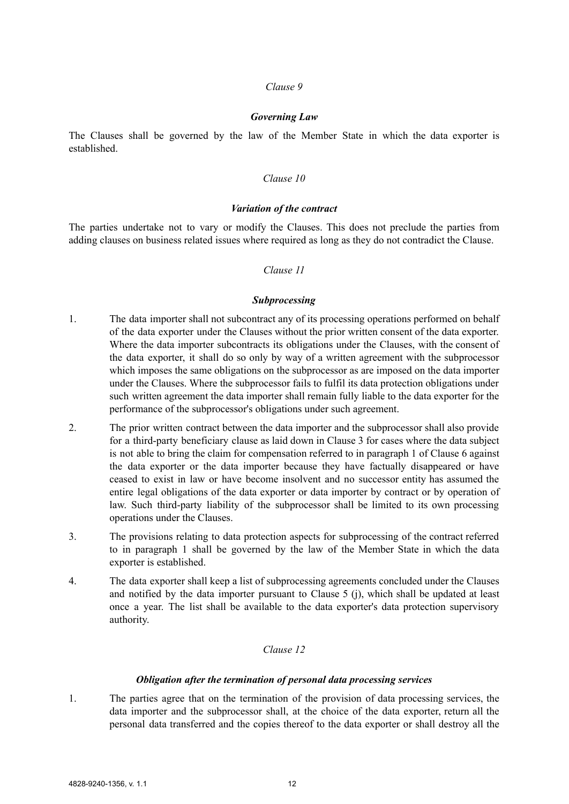#### *Clause 9*

#### *Governing Law*

The Clauses shall be governed by the law of the Member State in which the data exporter is established.

## *Clause 10*

#### *Variation of the contract*

The parties undertake not to vary or modify the Clauses. This does not preclude the parties from adding clauses on business related issues where required as long as they do not contradict the Clause.

#### *Clause 11*

#### *Subprocessing*

- 1. The data importer shall not subcontract any of its processing operations performed on behalf of the data exporter under the Clauses without the prior written consent of the data exporter. Where the data importer subcontracts its obligations under the Clauses, with the consent of the data exporter, it shall do so only by way of a written agreement with the subprocessor which imposes the same obligations on the subprocessor as are imposed on the data importer under the Clauses. Where the subprocessor fails to fulfil its data protection obligations under such written agreement the data importer shall remain fully liable to the data exporter for the performance of the subprocessor's obligations under such agreement.
- 2. The prior written contract between the data importer and the subprocessor shall also provide for a third-party beneficiary clause as laid down in Clause 3 for cases where the data subject is not able to bring the claim for compensation referred to in paragraph 1 of Clause 6 against the data exporter or the data importer because they have factually disappeared or have ceased to exist in law or have become insolvent and no successor entity has assumed the entire legal obligations of the data exporter or data importer by contract or by operation of law. Such third-party liability of the subprocessor shall be limited to its own processing operations under the Clauses.
- 3. The provisions relating to data protection aspects for subprocessing of the contract referred to in paragraph 1 shall be governed by the law of the Member State in which the data exporter is established.
- 4. The data exporter shall keep a list of subprocessing agreements concluded under the Clauses and notified by the data importer pursuant to Clause 5 (j), which shall be updated at least once a year. The list shall be available to the data exporter's data protection supervisory authority.

# *Clause 12*

#### *Obligation after the termination of personal data processing services*

1. The parties agree that on the termination of the provision of data processing services, the data importer and the subprocessor shall, at the choice of the data exporter, return all the personal data transferred and the copies thereof to the data exporter or shall destroy all the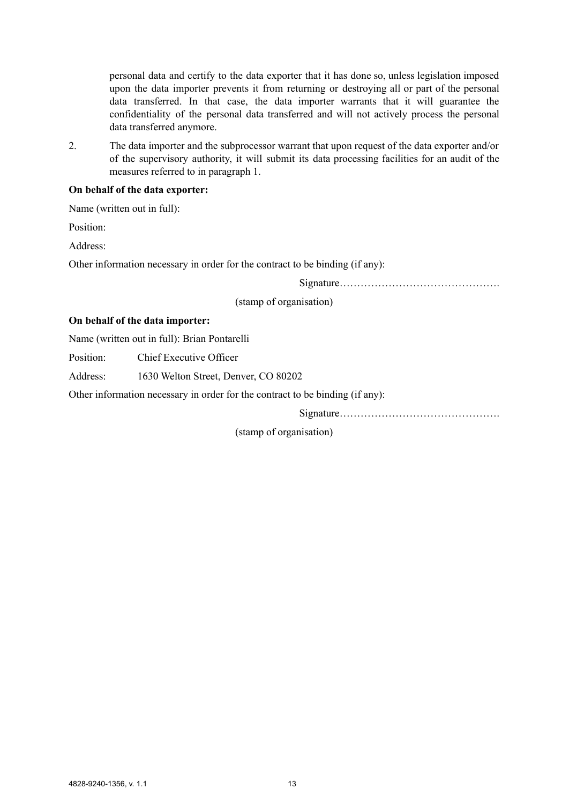personal data and certify to the data exporter that it has done so, unless legislation imposed upon the data importer prevents it from returning or destroying all or part of the personal data transferred. In that case, the data importer warrants that it will guarantee the confidentiality of the personal data transferred and will not actively process the personal data transferred anymore.

2. The data importer and the subprocessor warrant that upon request of the data exporter and/or of the supervisory authority, it will submit its data processing facilities for an audit of the measures referred to in paragraph 1.

### **On behalf of the data exporter:**

Name (written out in full):

Position: Address:

|           | Other information necessary in order for the contract to be binding (if any): |
|-----------|-------------------------------------------------------------------------------|
|           |                                                                               |
|           | (stamp of organisation)                                                       |
|           | On behalf of the data importer:                                               |
|           | Name (written out in full): Brian Pontarelli                                  |
| Position: | Chief Executive Officer                                                       |
|           | Address: 1630 Welton Street, Denver, CO 80202                                 |
|           | Other information necessary in order for the contract to be binding (if any): |
|           |                                                                               |
|           | (stamp of organisation)                                                       |
|           |                                                                               |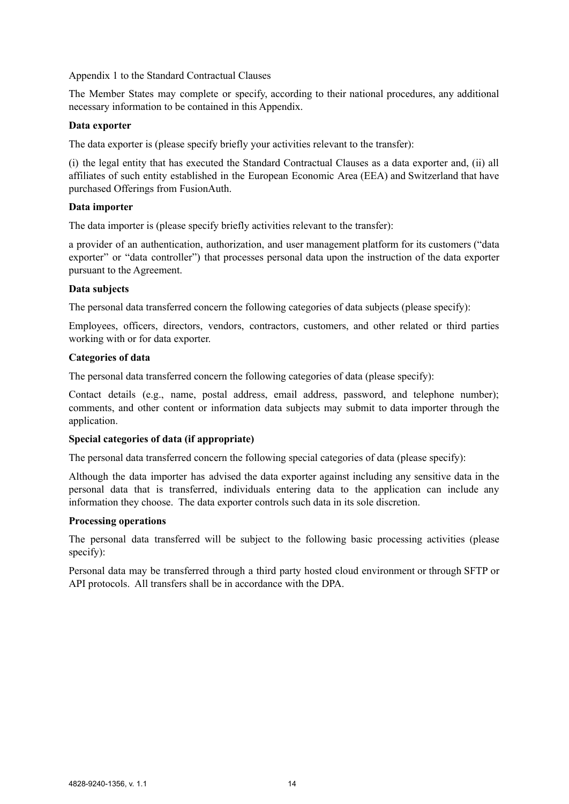Appendix 1 to the Standard Contractual Clauses

The Member States may complete or specify, according to their national procedures, any additional necessary information to be contained in this Appendix.

### **Data exporter**

The data exporter is (please specify briefly your activities relevant to the transfer):

(i) the legal entity that has executed the Standard Contractual Clauses as a data exporter and, (ii) all affiliates of such entity established in the European Economic Area (EEA) and Switzerland that have purchased Offerings from FusionAuth.

#### **Data importer**

The data importer is (please specify briefly activities relevant to the transfer):

a provider of an authentication, authorization, and user management platform for its customers ("data exporter" or "data controller") that processes personal data upon the instruction of the data exporter pursuant to the Agreement.

#### **Data subjects**

The personal data transferred concern the following categories of data subjects (please specify):

Employees, officers, directors, vendors, contractors, customers, and other related or third parties working with or for data exporter.

#### **Categories of data**

The personal data transferred concern the following categories of data (please specify):

Contact details (e.g., name, postal address, email address, password, and telephone number); comments, and other content or information data subjects may submit to data importer through the application.

### **Special categories of data (if appropriate)**

The personal data transferred concern the following special categories of data (please specify):

Although the data importer has advised the data exporter against including any sensitive data in the personal data that is transferred, individuals entering data to the application can include any information they choose. The data exporter controls such data in its sole discretion.

#### **Processing operations**

The personal data transferred will be subject to the following basic processing activities (please specify):

Personal data may be transferred through a third party hosted cloud environment or through SFTP or API protocols. All transfers shall be in accordance with the DPA.